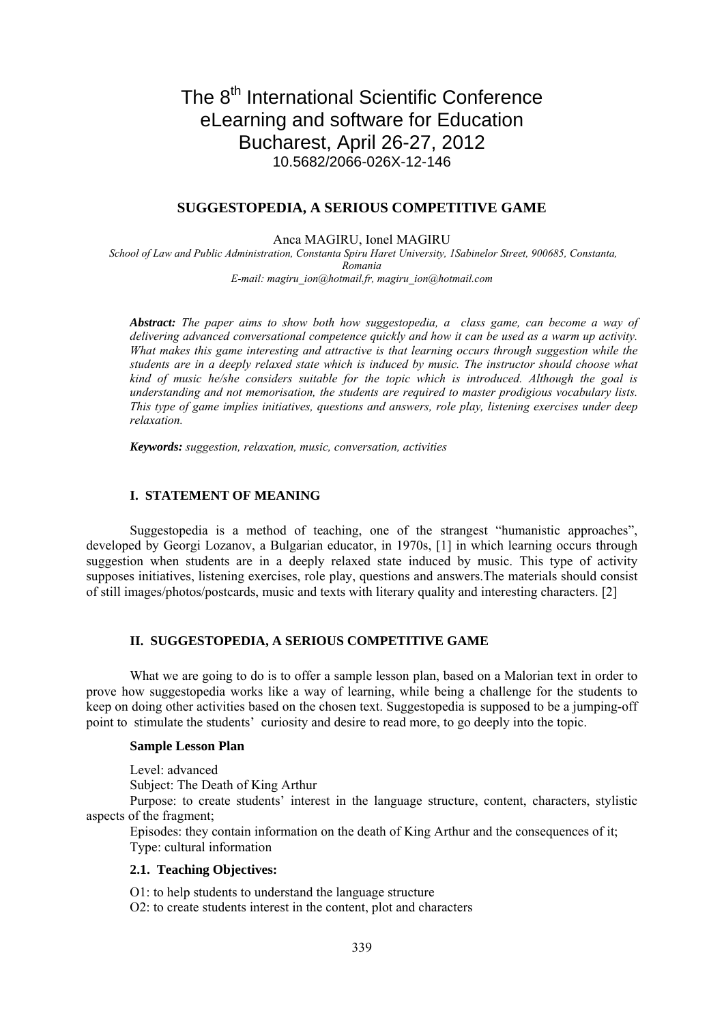# The 8<sup>th</sup> International Scientific Conference eLearning and software for Education Bucharest, April 26-27, 2012 10.5682/2066-026X-12-146

# **SUGGESTOPEDIA, A SERIOUS COMPETITIVE GAME**

Anca MAGIRU, Ionel MAGIRU

*School of Law and Public Administration, Constanta Spiru Haret University, 1Sabinelor Street, 900685, Constanta, Romania E-mail: magiru\_ion@hotmail.fr, magiru\_ion@hotmail.com* 

*Abstract: The paper aims to show both how suggestopedia, a class game, can become a way of delivering advanced conversational competence quickly and how it can be used as a warm up activity. What makes this game interesting and attractive is that learning occurs through suggestion while the students are in a deeply relaxed state which is induced by music. The instructor should choose what kind of music he/she considers suitable for the topic which is introduced. Although the goal is understanding and not memorisation, the students are required to master prodigious vocabulary lists. This type of game implies initiatives, questions and answers, role play, listening exercises under deep relaxation.* 

*Keywords: suggestion, relaxation, music, conversation, activities*

## **I. STATEMENT OF MEANING**

Suggestopedia is a method of teaching, one of the strangest "humanistic approaches", developed by Georgi Lozanov, a Bulgarian educator, in 1970s, [1] in which learning occurs through suggestion when students are in a deeply relaxed state induced by music. This type of activity supposes initiatives, listening exercises, role play, questions and answers.The materials should consist of still images/photos/postcards, music and texts with literary quality and interesting characters. [2]

#### **II. SUGGESTOPEDIA, A SERIOUS COMPETITIVE GAME**

What we are going to do is to offer a sample lesson plan, based on a Malorian text in order to prove how suggestopedia works like a way of learning, while being a challenge for the students to keep on doing other activities based on the chosen text. Suggestopedia is supposed to be a jumping-off point to stimulate the students' curiosity and desire to read more, to go deeply into the topic.

### **Sample Lesson Plan**

Level: advanced

Subject: The Death of King Arthur

Purpose: to create students' interest in the language structure, content, characters, stylistic aspects of the fragment;

Episodes: they contain information on the death of King Arthur and the consequences of it; Type: cultural information

#### **2.1. Teaching Objectives:**

O1: to help students to understand the language structure

O2: to create students interest in the content, plot and characters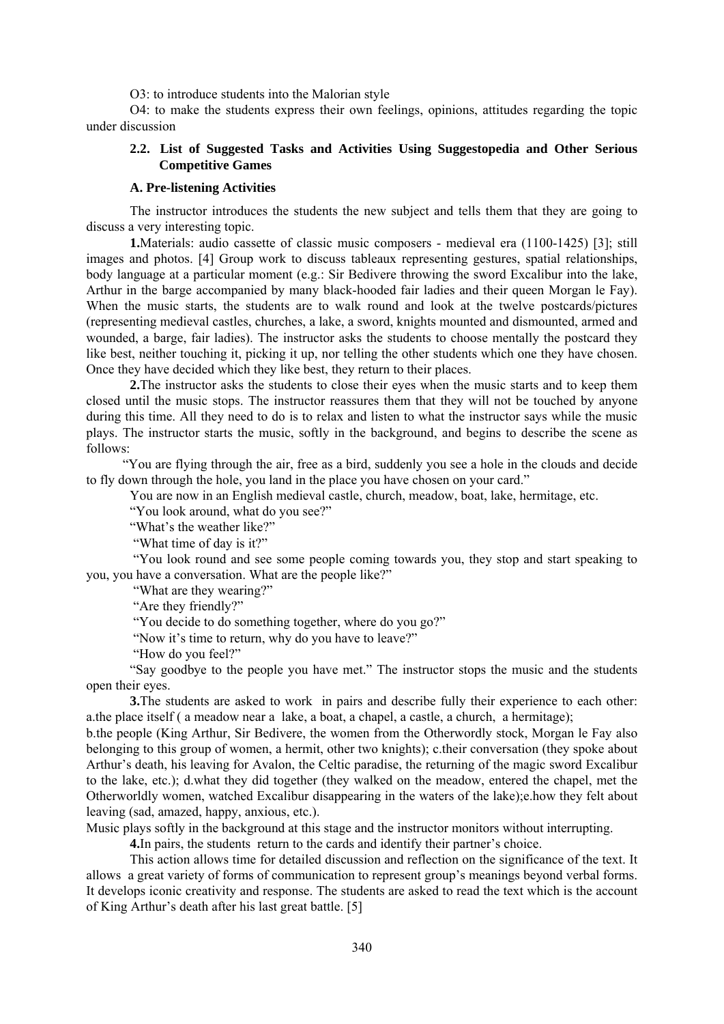O3: to introduce students into the Malorian style

O4: to make the students express their own feelings, opinions, attitudes regarding the topic under discussion

# **2.2. .List of Suggested Tasks and Activities Using Suggestopedia and Other Serious Competitive Games**

### **A. Pre-listening Activities**

The instructor introduces the students the new subject and tells them that they are going to discuss a very interesting topic.

**1.**Materials: audio cassette of classic music composers - medieval era (1100-1425) [3]; still images and photos. [4] Group work to discuss tableaux representing gestures, spatial relationships, body language at a particular moment (e.g.: Sir Bedivere throwing the sword Excalibur into the lake, Arthur in the barge accompanied by many black-hooded fair ladies and their queen Morgan le Fay). When the music starts, the students are to walk round and look at the twelve postcards/pictures (representing medieval castles, churches, a lake, a sword, knights mounted and dismounted, armed and wounded, a barge, fair ladies). The instructor asks the students to choose mentally the postcard they like best, neither touching it, picking it up, nor telling the other students which one they have chosen. Once they have decided which they like best, they return to their places.

**2.**The instructor asks the students to close their eyes when the music starts and to keep them closed until the music stops. The instructor reassures them that they will not be touched by anyone during this time. All they need to do is to relax and listen to what the instructor says while the music plays. The instructor starts the music, softly in the background, and begins to describe the scene as follows:

"You are flying through the air, free as a bird, suddenly you see a hole in the clouds and decide to fly down through the hole, you land in the place you have chosen on your card."

You are now in an English medieval castle, church, meadow, boat, lake, hermitage, etc.

"You look around, what do you see?"

"What's the weather like?"

"What time of day is it?"

 "You look round and see some people coming towards you, they stop and start speaking to you, you have a conversation. What are the people like?"

"What are they wearing?"

"Are they friendly?"

"You decide to do something together, where do you go?"

"Now it's time to return, why do you have to leave?"

"How do you feel?"

"Say goodbye to the people you have met." The instructor stops the music and the students open their eyes.

**3.**The students are asked to work in pairs and describe fully their experience to each other: a.the place itself ( a meadow near a lake, a boat, a chapel, a castle, a church, a hermitage);

b.the people (King Arthur, Sir Bedivere, the women from the Otherwordly stock, Morgan le Fay also belonging to this group of women, a hermit, other two knights); c.their conversation (they spoke about Arthur's death, his leaving for Avalon, the Celtic paradise, the returning of the magic sword Excalibur to the lake, etc.); d.what they did together (they walked on the meadow, entered the chapel, met the Otherworldly women, watched Excalibur disappearing in the waters of the lake);e.how they felt about leaving (sad, amazed, happy, anxious, etc.).

Music plays softly in the background at this stage and the instructor monitors without interrupting.

**4.**In pairs, the students return to the cards and identify their partner's choice.

This action allows time for detailed discussion and reflection on the significance of the text. It allows a great variety of forms of communication to represent group's meanings beyond verbal forms. It develops iconic creativity and response. The students are asked to read the text which is the account of King Arthur's death after his last great battle. [5]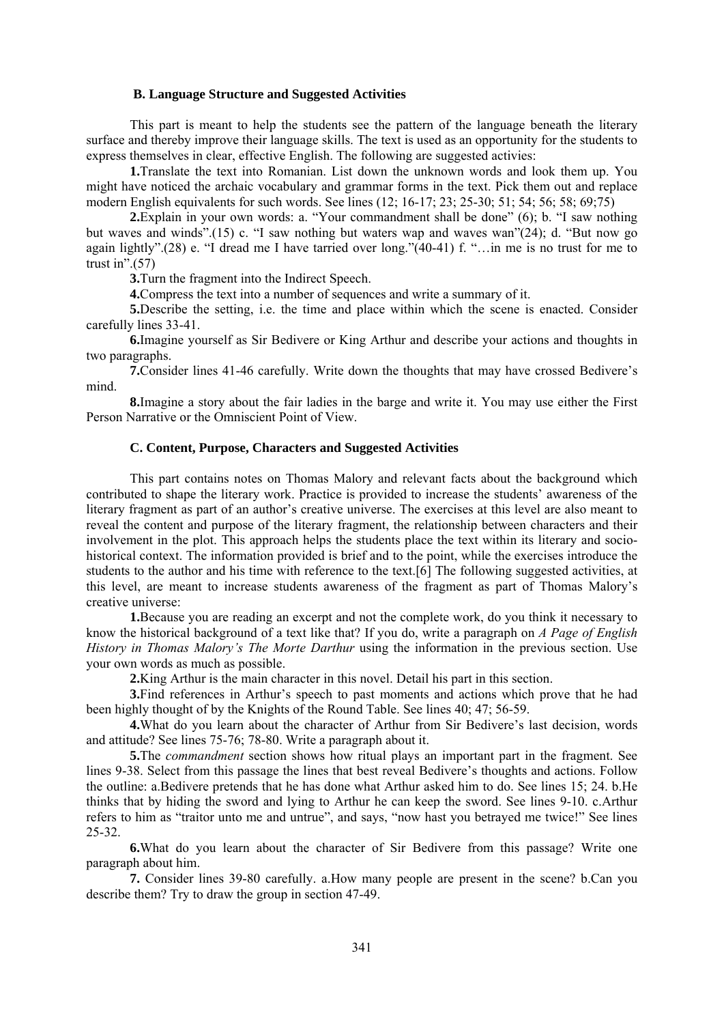### **B. Language Structure and Suggested Activities**

This part is meant to help the students see the pattern of the language beneath the literary surface and thereby improve their language skills. The text is used as an opportunity for the students to express themselves in clear, effective English. The following are suggested activies:

**1.**Translate the text into Romanian. List down the unknown words and look them up. You might have noticed the archaic vocabulary and grammar forms in the text. Pick them out and replace modern English equivalents for such words. See lines (12; 16-17; 23; 25-30; 51; 54; 56; 58; 69;75)

**2.**Explain in your own words: a. "Your commandment shall be done" (6); b. "I saw nothing but waves and winds".(15) c. "I saw nothing but waters wap and waves wan"(24); d. "But now go again lightly".(28) e. "I dread me I have tarried over long."(40-41) f. "…in me is no trust for me to trust in" $(57)$ 

**3.**Turn the fragment into the Indirect Speech.

**4.**Compress the text into a number of sequences and write a summary of it.

**5.**Describe the setting, i.e. the time and place within which the scene is enacted. Consider carefully lines 33-41.

**6.**Imagine yourself as Sir Bedivere or King Arthur and describe your actions and thoughts in two paragraphs.

**7.**Consider lines 41-46 carefully. Write down the thoughts that may have crossed Bedivere's mind.

**8.**Imagine a story about the fair ladies in the barge and write it. You may use either the First Person Narrative or the Omniscient Point of View.

# **C. Content, Purpose, Characters and Suggested Activities**

This part contains notes on Thomas Malory and relevant facts about the background which contributed to shape the literary work. Practice is provided to increase the students' awareness of the literary fragment as part of an author's creative universe. The exercises at this level are also meant to reveal the content and purpose of the literary fragment, the relationship between characters and their involvement in the plot. This approach helps the students place the text within its literary and sociohistorical context. The information provided is brief and to the point, while the exercises introduce the students to the author and his time with reference to the text.[6] The following suggested activities, at this level, are meant to increase students awareness of the fragment as part of Thomas Malory's creative universe:

**1.**Because you are reading an excerpt and not the complete work, do you think it necessary to know the historical background of a text like that? If you do, write a paragraph on *A Page of English History in Thomas Malory's The Morte Darthur* using the information in the previous section. Use your own words as much as possible.

**2.**King Arthur is the main character in this novel. Detail his part in this section.

**3.**Find references in Arthur's speech to past moments and actions which prove that he had been highly thought of by the Knights of the Round Table. See lines 40; 47; 56-59.

**4.**What do you learn about the character of Arthur from Sir Bedivere's last decision, words and attitude? See lines 75-76; 78-80. Write a paragraph about it.

**5.**The *commandment* section shows how ritual plays an important part in the fragment. See lines 9-38. Select from this passage the lines that best reveal Bedivere's thoughts and actions. Follow the outline: a.Bedivere pretends that he has done what Arthur asked him to do. See lines 15; 24. b.He thinks that by hiding the sword and lying to Arthur he can keep the sword. See lines 9-10. c.Arthur refers to him as "traitor unto me and untrue", and says, "now hast you betrayed me twice!" See lines 25-32.

**6.**What do you learn about the character of Sir Bedivere from this passage? Write one paragraph about him.

**7.** Consider lines 39-80 carefully. a.How many people are present in the scene? b.Can you describe them? Try to draw the group in section 47-49.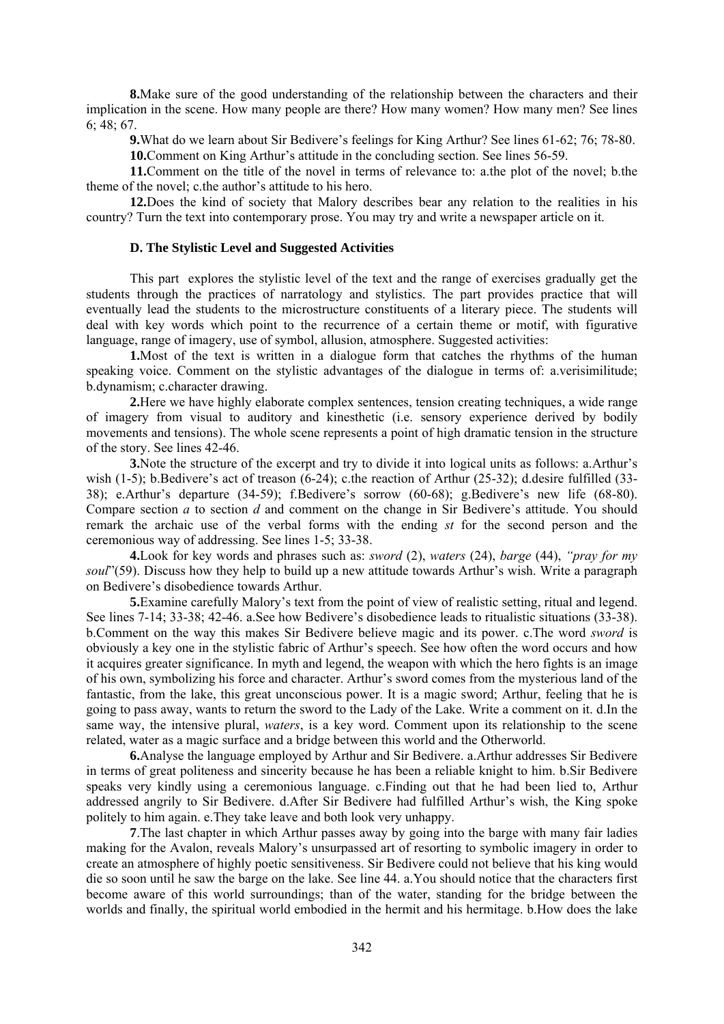**8.**Make sure of the good understanding of the relationship between the characters and their implication in the scene. How many people are there? How many women? How many men? See lines 6; 48; 67.

**9.**What do we learn about Sir Bedivere's feelings for King Arthur? See lines 61-62; 76; 78-80. **10.**Comment on King Arthur's attitude in the concluding section. See lines 56-59.

**11.**Comment on the title of the novel in terms of relevance to: a.the plot of the novel; b.the theme of the novel; c.the author's attitude to his hero.

**12.**Does the kind of society that Malory describes bear any relation to the realities in his country? Turn the text into contemporary prose. You may try and write a newspaper article on it.

## **D. The Stylistic Level and Suggested Activities**

This part explores the stylistic level of the text and the range of exercises gradually get the students through the practices of narratology and stylistics. The part provides practice that will eventually lead the students to the microstructure constituents of a literary piece. The students will deal with key words which point to the recurrence of a certain theme or motif, with figurative language, range of imagery, use of symbol, allusion, atmosphere. Suggested activities:

**1.**Most of the text is written in a dialogue form that catches the rhythms of the human speaking voice. Comment on the stylistic advantages of the dialogue in terms of: a.verisimilitude; b.dynamism; c.character drawing.

**2.**Here we have highly elaborate complex sentences, tension creating techniques, a wide range of imagery from visual to auditory and kinesthetic (i.e. sensory experience derived by bodily movements and tensions). The whole scene represents a point of high dramatic tension in the structure of the story. See lines 42-46.

**3.** Note the structure of the excerpt and try to divide it into logical units as follows: a. Arthur's wish (1-5); b.Bedivere's act of treason (6-24); c.the reaction of Arthur (25-32); d.desire fulfilled (33-38); e.Arthur's departure (34-59); f.Bedivere's sorrow (60-68); g.Bedivere's new life (68-80). Compare section *a* to section *d* and comment on the change in Sir Bedivere's attitude. You should remark the archaic use of the verbal forms with the ending *st* for the second person and the ceremonious way of addressing. See lines 1-5; 33-38.

**4.**Look for key words and phrases such as: *sword* (2), *waters* (24), *barge* (44), *"pray for my soul*"(59). Discuss how they help to build up a new attitude towards Arthur's wish. Write a paragraph on Bedivere's disobedience towards Arthur.

**5.**Examine carefully Malory's text from the point of view of realistic setting, ritual and legend. See lines 7-14; 33-38; 42-46. a.See how Bedivere's disobedience leads to ritualistic situations (33-38). b.Comment on the way this makes Sir Bedivere believe magic and its power. c.The word *sword* is obviously a key one in the stylistic fabric of Arthur's speech. See how often the word occurs and how it acquires greater significance. In myth and legend, the weapon with which the hero fights is an image of his own, symbolizing his force and character. Arthur's sword comes from the mysterious land of the fantastic, from the lake, this great unconscious power. It is a magic sword; Arthur, feeling that he is going to pass away, wants to return the sword to the Lady of the Lake. Write a comment on it. d.In the same way, the intensive plural, *waters*, is a key word. Comment upon its relationship to the scene related, water as a magic surface and a bridge between this world and the Otherworld.

**6.**Analyse the language employed by Arthur and Sir Bedivere. a.Arthur addresses Sir Bedivere in terms of great politeness and sincerity because he has been a reliable knight to him. b.Sir Bedivere speaks very kindly using a ceremonious language. c.Finding out that he had been lied to, Arthur addressed angrily to Sir Bedivere. d.After Sir Bedivere had fulfilled Arthur's wish, the King spoke politely to him again. e.They take leave and both look very unhappy.

**7.** The last chapter in which Arthur passes away by going into the barge with many fair ladies making for the Avalon, reveals Malory's unsurpassed art of resorting to symbolic imagery in order to create an atmosphere of highly poetic sensitiveness. Sir Bedivere could not believe that his king would die so soon until he saw the barge on the lake. See line 44. a.You should notice that the characters first become aware of this world surroundings; than of the water, standing for the bridge between the worlds and finally, the spiritual world embodied in the hermit and his hermitage. b.How does the lake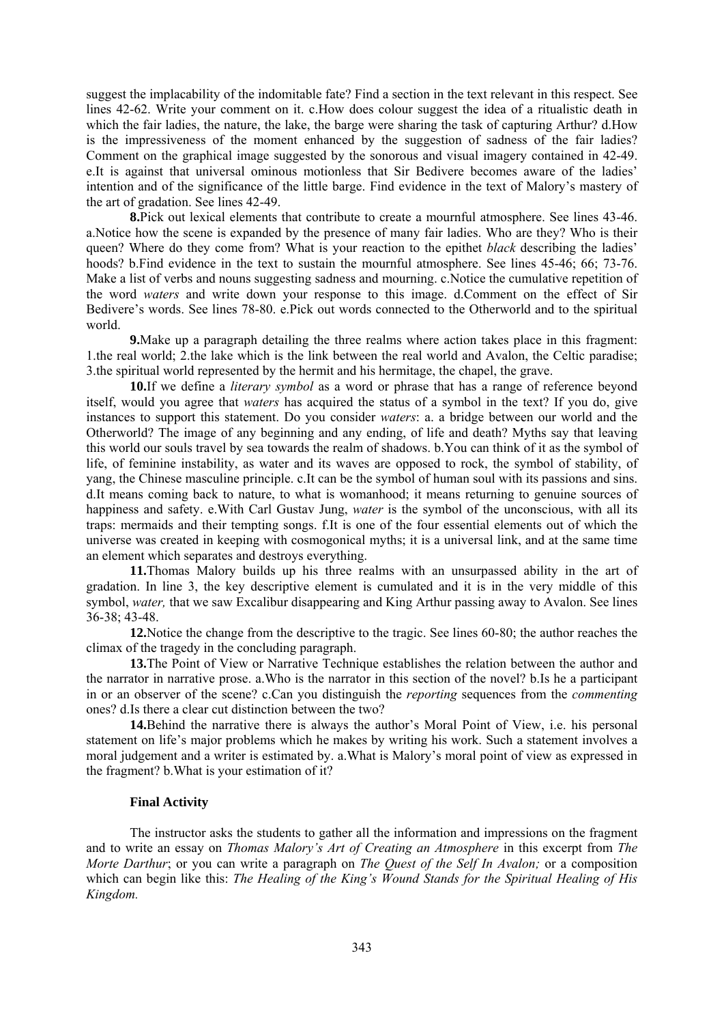suggest the implacability of the indomitable fate? Find a section in the text relevant in this respect. See lines 42-62. Write your comment on it. c.How does colour suggest the idea of a ritualistic death in which the fair ladies, the nature, the lake, the barge were sharing the task of capturing Arthur? d.How is the impressiveness of the moment enhanced by the suggestion of sadness of the fair ladies? Comment on the graphical image suggested by the sonorous and visual imagery contained in 42-49. e.It is against that universal ominous motionless that Sir Bedivere becomes aware of the ladies' intention and of the significance of the little barge. Find evidence in the text of Malory's mastery of the art of gradation. See lines 42-49.

**8.**Pick out lexical elements that contribute to create a mournful atmosphere. See lines 43-46. a.Notice how the scene is expanded by the presence of many fair ladies. Who are they? Who is their queen? Where do they come from? What is your reaction to the epithet *black* describing the ladies' hoods? b.Find evidence in the text to sustain the mournful atmosphere. See lines 45-46; 66; 73-76. Make a list of verbs and nouns suggesting sadness and mourning. c.Notice the cumulative repetition of the word *waters* and write down your response to this image. d.Comment on the effect of Sir Bedivere's words. See lines 78-80. e.Pick out words connected to the Otherworld and to the spiritual world.

**9.**Make up a paragraph detailing the three realms where action takes place in this fragment: 1.the real world; 2.the lake which is the link between the real world and Avalon, the Celtic paradise; 3.the spiritual world represented by the hermit and his hermitage, the chapel, the grave.

**10.**If we define a *literary symbol* as a word or phrase that has a range of reference beyond itself, would you agree that *waters* has acquired the status of a symbol in the text? If you do, give instances to support this statement. Do you consider *waters*: a. a bridge between our world and the Otherworld? The image of any beginning and any ending, of life and death? Myths say that leaving this world our souls travel by sea towards the realm of shadows. b.You can think of it as the symbol of life, of feminine instability, as water and its waves are opposed to rock, the symbol of stability, of yang, the Chinese masculine principle. c.It can be the symbol of human soul with its passions and sins. d.It means coming back to nature, to what is womanhood; it means returning to genuine sources of happiness and safety. e.With Carl Gustav Jung, *water* is the symbol of the unconscious, with all its traps: mermaids and their tempting songs. f.It is one of the four essential elements out of which the universe was created in keeping with cosmogonical myths; it is a universal link, and at the same time an element which separates and destroys everything.

**11.**Thomas Malory builds up his three realms with an unsurpassed ability in the art of gradation. In line 3, the key descriptive element is cumulated and it is in the very middle of this symbol, *water,* that we saw Excalibur disappearing and King Arthur passing away to Avalon. See lines 36-38; 43-48.

**12.**Notice the change from the descriptive to the tragic. See lines 60-80; the author reaches the climax of the tragedy in the concluding paragraph.

**13.**The Point of View or Narrative Technique establishes the relation between the author and the narrator in narrative prose. a.Who is the narrator in this section of the novel? b.Is he a participant in or an observer of the scene? c.Can you distinguish the *reporting* sequences from the *commenting* ones? d.Is there a clear cut distinction between the two?

**14.**Behind the narrative there is always the author's Moral Point of View, i.e. his personal statement on life's major problems which he makes by writing his work. Such a statement involves a moral judgement and a writer is estimated by. a.What is Malory's moral point of view as expressed in the fragment? b.What is your estimation of it?

### **Final Activity**

The instructor asks the students to gather all the information and impressions on the fragment and to write an essay on *Thomas Malory's Art of Creating an Atmosphere* in this excerpt from *The Morte Darthur*; or you can write a paragraph on *The Quest of the Self In Avalon;* or a composition which can begin like this: *The Healing of the King's Wound Stands for the Spiritual Healing of His Kingdom.*